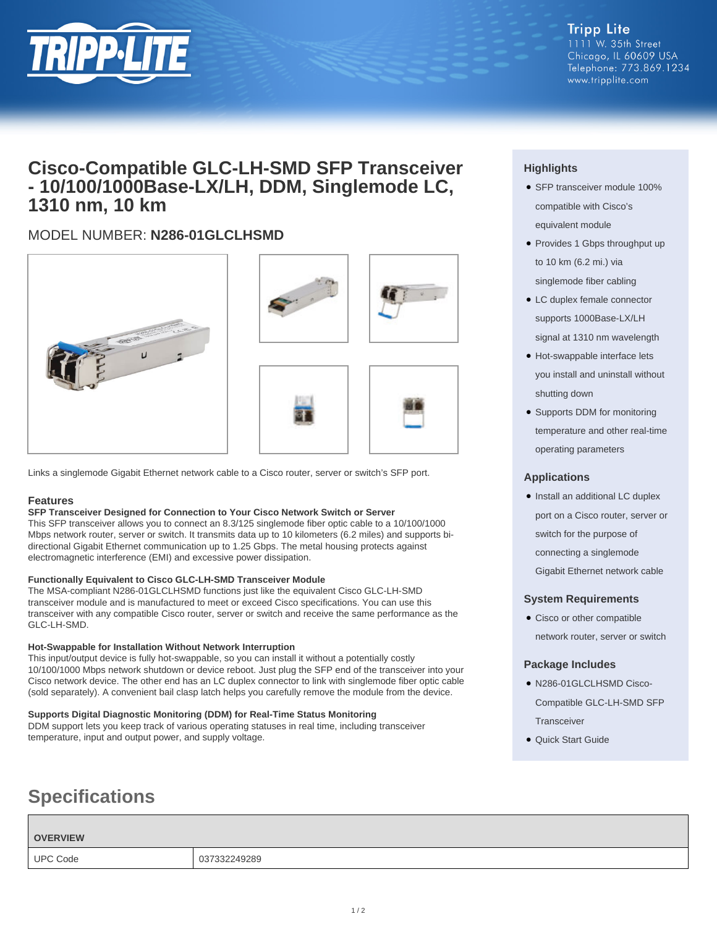

**Tripp Lite** 1111 W. 35th Street Chicago, IL 60609 USA Telephone: 773.869.1234 www.tripplite.com

# **Cisco-Compatible GLC-LH-SMD SFP Transceiver - 10/100/1000Base-LX/LH, DDM, Singlemode LC, 1310 nm, 10 km**

## MODEL NUMBER: **N286-01GLCLHSMD**







Links a singlemode Gigabit Ethernet network cable to a Cisco router, server or switch's SFP port.

## **Features**

## **SFP Transceiver Designed for Connection to Your Cisco Network Switch or Server**

This SFP transceiver allows you to connect an 8.3/125 singlemode fiber optic cable to a 10/100/1000 Mbps network router, server or switch. It transmits data up to 10 kilometers (6.2 miles) and supports bidirectional Gigabit Ethernet communication up to 1.25 Gbps. The metal housing protects against electromagnetic interference (EMI) and excessive power dissipation.

## **Functionally Equivalent to Cisco GLC-LH-SMD Transceiver Module**

The MSA-compliant N286-01GLCLHSMD functions just like the equivalent Cisco GLC-LH-SMD transceiver module and is manufactured to meet or exceed Cisco specifications. You can use this transceiver with any compatible Cisco router, server or switch and receive the same performance as the GLC-LH-SMD.

#### **Hot-Swappable for Installation Without Network Interruption**

This input/output device is fully hot-swappable, so you can install it without a potentially costly 10/100/1000 Mbps network shutdown or device reboot. Just plug the SFP end of the transceiver into your Cisco network device. The other end has an LC duplex connector to link with singlemode fiber optic cable (sold separately). A convenient bail clasp latch helps you carefully remove the module from the device.

## **Supports Digital Diagnostic Monitoring (DDM) for Real-Time Status Monitoring**

DDM support lets you keep track of various operating statuses in real time, including transceiver temperature, input and output power, and supply voltage.

# **Specifications**

## **OVERVIEW**

## UPC Code 037332249289

#### $1/2$

## **Highlights**

- SFP transceiver module 100% compatible with Cisco's equivalent module
- Provides 1 Gbps throughput up to 10 km (6.2 mi.) via singlemode fiber cabling
- LC duplex female connector supports 1000Base-LX/LH signal at 1310 nm wavelength
- Hot-swappable interface lets you install and uninstall without shutting down
- Supports DDM for monitoring temperature and other real-time operating parameters

## **Applications**

• Install an additional LC duplex port on a Cisco router, server or switch for the purpose of connecting a singlemode Gigabit Ethernet network cable

## **System Requirements**

• Cisco or other compatible network router, server or switch

## **Package Includes**

- N286-01GLCLHSMD Cisco-Compatible GLC-LH-SMD SFP **Transceiver**
- Quick Start Guide